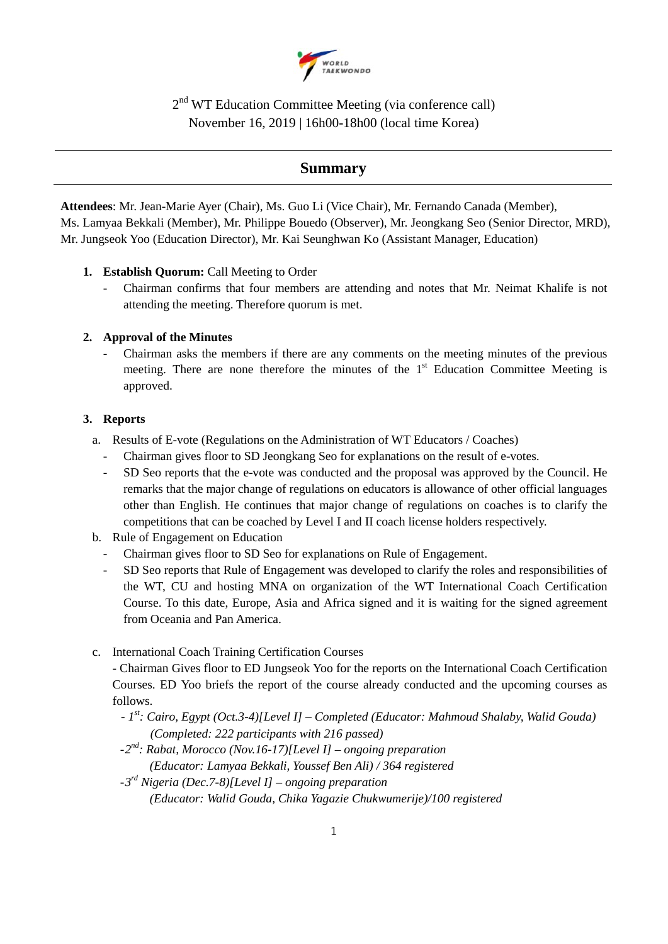

2nd WT Education Committee Meeting (via conference call) November 16, 2019 | 16h00-18h00 (local time Korea)

# **Summary**

**Attendees**: Mr. Jean-Marie Ayer (Chair), Ms. Guo Li (Vice Chair), Mr. Fernando Canada (Member), Ms. Lamyaa Bekkali (Member), Mr. Philippe Bouedo (Observer), Mr. Jeongkang Seo (Senior Director, MRD), Mr. Jungseok Yoo (Education Director), Mr. Kai Seunghwan Ko (Assistant Manager, Education)

- 1. **Establish Quorum:** Call Meeting to Order
	- Chairman confirms that four members are attending and notes that Mr. Neimat Khalife is not attending the meeting. Therefore quorum is met.

## **2. Approval of the Minutes**

- Chairman asks the members if there are any comments on the meeting minutes of the previous meeting. There are none therefore the minutes of the  $1<sup>st</sup>$  Education Committee Meeting is approved.

## **3. Reports**

- a. Results of E-vote (Regulations on the Administration of WT Educators / Coaches)
	- Chairman gives floor to SD Jeongkang Seo for explanations on the result of e-votes.
	- SD Seo reports that the e-vote was conducted and the proposal was approved by the Council. He remarks that the major change of regulations on educators is allowance of other official languages other than English. He continues that major change of regulations on coaches is to clarify the competitions that can be coached by Level I and II coach license holders respectively.
- b. Rule of Engagement on Education
	- Chairman gives floor to SD Seo for explanations on Rule of Engagement.
	- SD Seo reports that Rule of Engagement was developed to clarify the roles and responsibilities of the WT, CU and hosting MNA on organization of the WT International Coach Certification Course. To this date, Europe, Asia and Africa signed and it is waiting for the signed agreement from Oceania and Pan America.
- c. International Coach Training Certification Courses

- Chairman Gives floor to ED Jungseok Yoo for the reports on the International Coach Certification Courses. ED Yoo briefs the report of the course already conducted and the upcoming courses as follows.

- *- 1st: Cairo, Egypt (Oct.3-4)[Level I] – Completed (Educator: Mahmoud Shalaby, Walid Gouda) (Completed: 222 participants with 216 passed)*
- -*2nd: Rabat, Morocco (Nov.16-17)[Level I] – ongoing preparation (Educator: Lamyaa Bekkali, Youssef Ben Ali) / 364 registered*
- -*3rd Nigeria (Dec.7-8)[Level I] – ongoing preparation (Educator: Walid Gouda, Chika Yagazie Chukwumerije)/100 registered*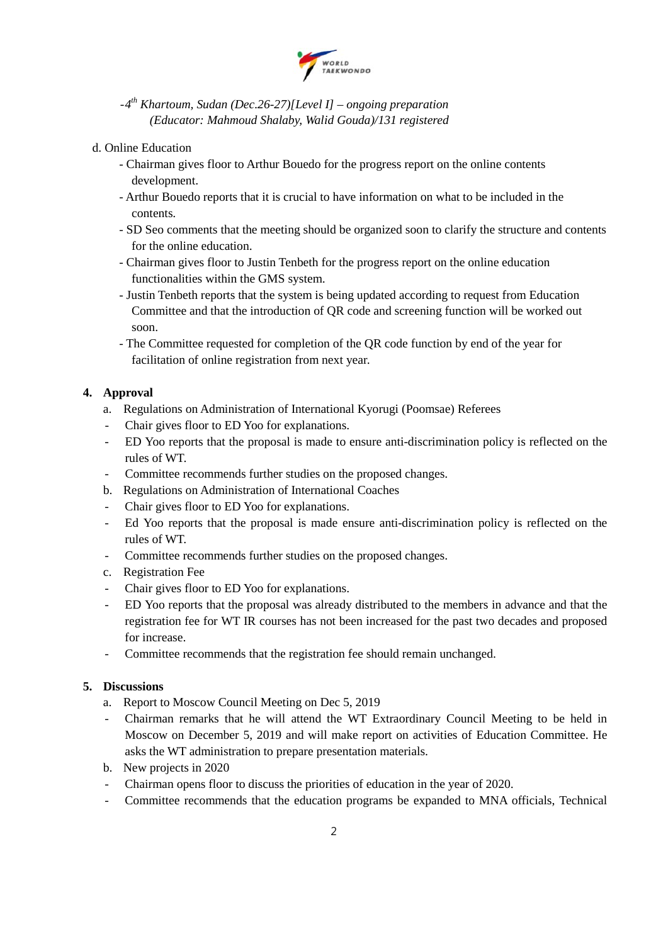

- -*4th Khartoum, Sudan (Dec.26-27)[Level I] – ongoing preparation (Educator: Mahmoud Shalaby, Walid Gouda)/131 registered*
- d. Online Education
	- Chairman gives floor to Arthur Bouedo for the progress report on the online contents development.
	- Arthur Bouedo reports that it is crucial to have information on what to be included in the contents.
	- SD Seo comments that the meeting should be organized soon to clarify the structure and contents for the online education.
	- Chairman gives floor to Justin Tenbeth for the progress report on the online education functionalities within the GMS system.
	- Justin Tenbeth reports that the system is being updated according to request from Education Committee and that the introduction of QR code and screening function will be worked out soon.
	- The Committee requested for completion of the QR code function by end of the year for facilitation of online registration from next year.

## **4. Approval**

- a. Regulations on Administration of International Kyorugi (Poomsae) Referees
- Chair gives floor to ED Yoo for explanations.
- ED Yoo reports that the proposal is made to ensure anti-discrimination policy is reflected on the rules of WT.
- Committee recommends further studies on the proposed changes.
- b. Regulations on Administration of International Coaches
- Chair gives floor to ED Yoo for explanations.
- Ed Yoo reports that the proposal is made ensure anti-discrimination policy is reflected on the rules of WT.
- Committee recommends further studies on the proposed changes.
- c. Registration Fee
- Chair gives floor to ED Yoo for explanations.
- ED Yoo reports that the proposal was already distributed to the members in advance and that the registration fee for WT IR courses has not been increased for the past two decades and proposed for increase.
- Committee recommends that the registration fee should remain unchanged.

#### **5. Discussions**

- a. Report to Moscow Council Meeting on Dec 5, 2019
- Chairman remarks that he will attend the WT Extraordinary Council Meeting to be held in Moscow on December 5, 2019 and will make report on activities of Education Committee. He asks the WT administration to prepare presentation materials.
- b. New projects in 2020
- Chairman opens floor to discuss the priorities of education in the year of 2020.
- Committee recommends that the education programs be expanded to MNA officials, Technical